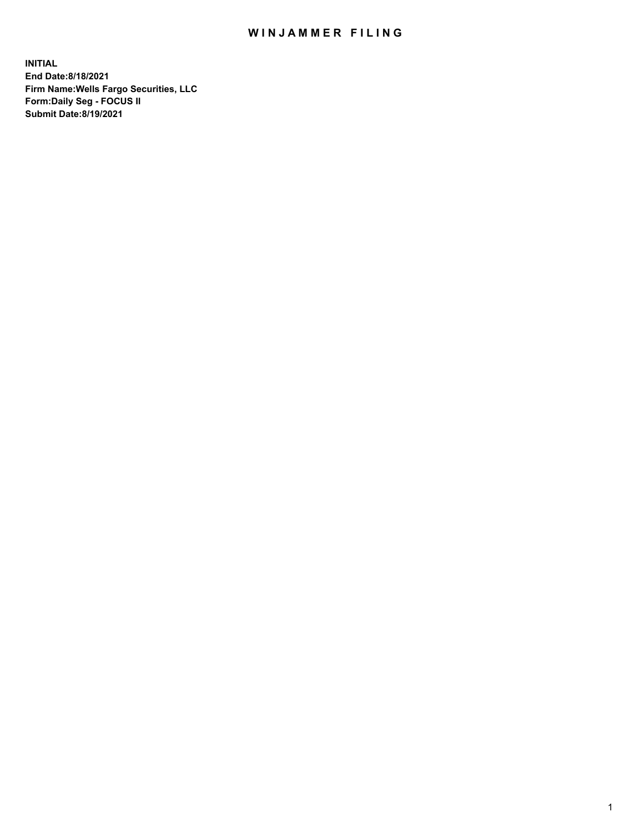## WIN JAMMER FILING

**INITIAL End Date:8/18/2021 Firm Name:Wells Fargo Securities, LLC Form:Daily Seg - FOCUS II Submit Date:8/19/2021**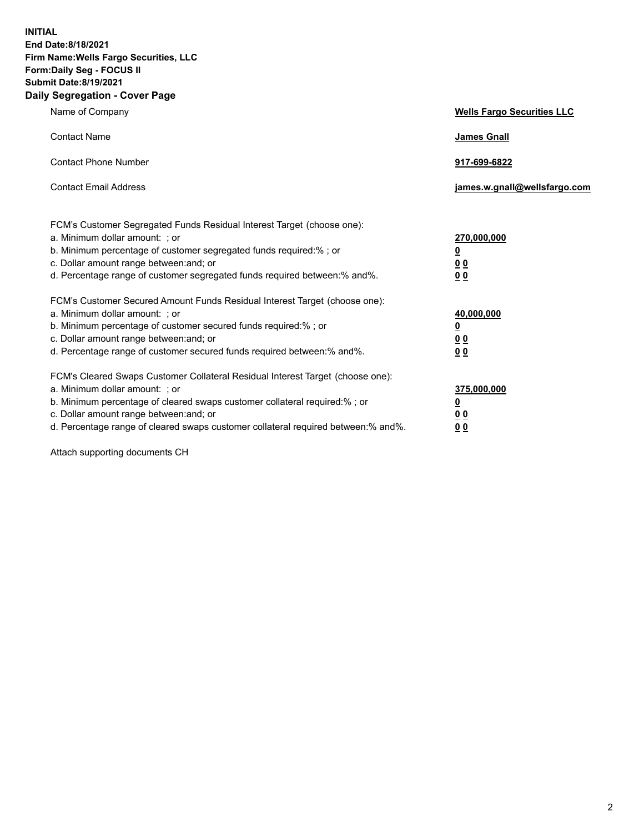**INITIAL End Date:8/18/2021 Firm Name:Wells Fargo Securities, LLC Form:Daily Seg - FOCUS II Submit Date:8/19/2021 Daily Segregation - Cover Page**

| Name of Company                                                                                                                                                                                                                                                                                                                | <b>Wells Fargo Securities LLC</b>                                          |
|--------------------------------------------------------------------------------------------------------------------------------------------------------------------------------------------------------------------------------------------------------------------------------------------------------------------------------|----------------------------------------------------------------------------|
| <b>Contact Name</b>                                                                                                                                                                                                                                                                                                            | <b>James Gnall</b>                                                         |
| <b>Contact Phone Number</b>                                                                                                                                                                                                                                                                                                    | 917-699-6822                                                               |
| <b>Contact Email Address</b>                                                                                                                                                                                                                                                                                                   | james.w.gnall@wellsfargo.com                                               |
| FCM's Customer Segregated Funds Residual Interest Target (choose one):<br>a. Minimum dollar amount: ; or<br>b. Minimum percentage of customer segregated funds required:% ; or<br>c. Dollar amount range between: and; or<br>d. Percentage range of customer segregated funds required between:% and%.                         | 270,000,000<br>$\underline{\mathbf{0}}$<br>00<br>00                        |
| FCM's Customer Secured Amount Funds Residual Interest Target (choose one):<br>a. Minimum dollar amount: ; or<br>b. Minimum percentage of customer secured funds required:%; or<br>c. Dollar amount range between: and; or<br>d. Percentage range of customer secured funds required between: % and %.                          | 40,000,000<br>$\underline{\mathbf{0}}$<br>0 <sub>0</sub><br>0 <sub>0</sub> |
| FCM's Cleared Swaps Customer Collateral Residual Interest Target (choose one):<br>a. Minimum dollar amount: ; or<br>b. Minimum percentage of cleared swaps customer collateral required:% ; or<br>c. Dollar amount range between: and; or<br>d. Percentage range of cleared swaps customer collateral required between:% and%. | 375,000,000<br><u>0</u><br>00<br><u>00</u>                                 |

Attach supporting documents CH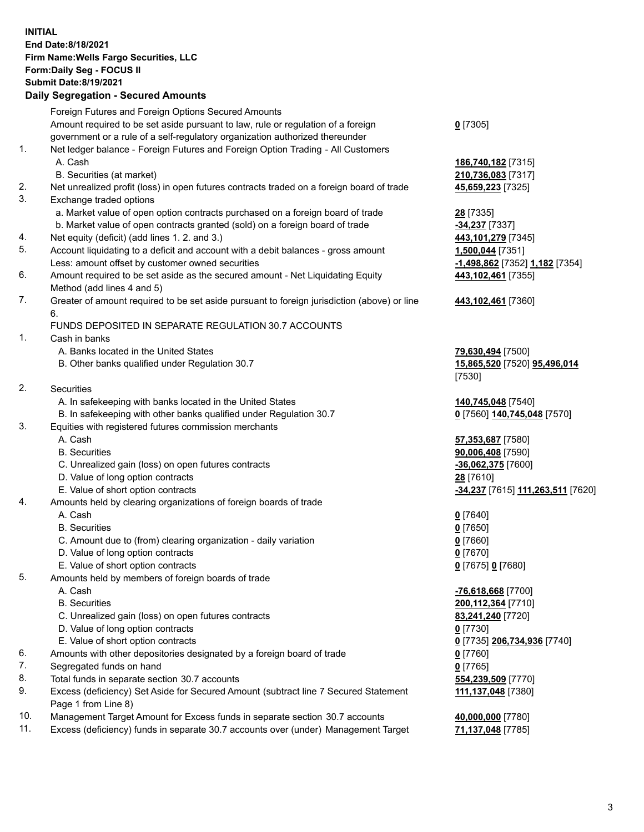**INITIAL End Date:8/18/2021 Firm Name:Wells Fargo Securities, LLC Form:Daily Seg - FOCUS II Submit Date:8/19/2021**

## **Daily Segregation - Secured Amounts**

|    | Foreign Futures and Foreign Options Secured Amounts                                                          |                                   |
|----|--------------------------------------------------------------------------------------------------------------|-----------------------------------|
|    | Amount required to be set aside pursuant to law, rule or regulation of a foreign                             | $0$ [7305]                        |
|    | government or a rule of a self-regulatory organization authorized thereunder                                 |                                   |
| 1. | Net ledger balance - Foreign Futures and Foreign Option Trading - All Customers                              |                                   |
|    | A. Cash                                                                                                      | 186,740,182 [7315]                |
|    | B. Securities (at market)                                                                                    | 210,736,083 [7317]                |
| 2. | Net unrealized profit (loss) in open futures contracts traded on a foreign board of trade                    | 45,659,223 [7325]                 |
| 3. |                                                                                                              |                                   |
|    | Exchange traded options                                                                                      |                                   |
|    | a. Market value of open option contracts purchased on a foreign board of trade                               | 28 [7335]                         |
|    | b. Market value of open contracts granted (sold) on a foreign board of trade                                 | <b>34,237</b> [7337]              |
| 4. | Net equity (deficit) (add lines 1. 2. and 3.)                                                                | 443, 101, 279 [7345]              |
| 5. | Account liquidating to a deficit and account with a debit balances - gross amount                            | 1,500,044 [7351]                  |
|    | Less: amount offset by customer owned securities                                                             | -1,498,862 [7352] 1,182 [7354]    |
| 6. | Amount required to be set aside as the secured amount - Net Liquidating Equity<br>Method (add lines 4 and 5) | 443,102,461 [7355]                |
| 7. | Greater of amount required to be set aside pursuant to foreign jurisdiction (above) or line                  | 443,102,461 [7360]                |
|    | 6.                                                                                                           |                                   |
|    | FUNDS DEPOSITED IN SEPARATE REGULATION 30.7 ACCOUNTS                                                         |                                   |
| 1. | Cash in banks                                                                                                |                                   |
|    | A. Banks located in the United States                                                                        | 79,630,494 [7500]                 |
|    | B. Other banks qualified under Regulation 30.7                                                               | 15,865,520 [7520] 95,496,014      |
|    |                                                                                                              | [7530]                            |
| 2. | Securities                                                                                                   |                                   |
|    | A. In safekeeping with banks located in the United States                                                    | 140,745,048 [7540]                |
|    | B. In safekeeping with other banks qualified under Regulation 30.7                                           | 0 [7560] 140,745,048 [7570]       |
| 3. | Equities with registered futures commission merchants                                                        |                                   |
|    | A. Cash                                                                                                      | 57,353,687 [7580]                 |
|    | <b>B.</b> Securities                                                                                         | 90,006,408 [7590]                 |
|    | C. Unrealized gain (loss) on open futures contracts                                                          | $-36,062,375$ [7600]              |
|    | D. Value of long option contracts                                                                            | 28 [7610]                         |
|    | E. Value of short option contracts                                                                           | -34,237 [7615] 111,263,511 [7620] |
| 4. | Amounts held by clearing organizations of foreign boards of trade                                            |                                   |
|    | A. Cash                                                                                                      | $0$ [7640]                        |
|    | <b>B.</b> Securities                                                                                         | $0$ [7650]                        |
|    | C. Amount due to (from) clearing organization - daily variation                                              | $0$ [7660]                        |
|    | D. Value of long option contracts                                                                            | $0$ [7670]                        |
|    | E. Value of short option contracts                                                                           | 0 [7675] 0 [7680]                 |
| 5. |                                                                                                              |                                   |
|    | Amounts held by members of foreign boards of trade                                                           |                                   |
|    | A. Cash                                                                                                      | -76,618,668 [7700]                |
|    | <b>B.</b> Securities                                                                                         | 200, 112, 364 [7710]              |
|    | C. Unrealized gain (loss) on open futures contracts                                                          | 83,241,240 [7720]                 |
|    | D. Value of long option contracts                                                                            | $0$ [7730]                        |
|    | E. Value of short option contracts                                                                           | 0 [7735] 206,734,936 [7740]       |
| 6. | Amounts with other depositories designated by a foreign board of trade                                       | 0 [7760]                          |
| 7. | Segregated funds on hand                                                                                     | $0$ [7765]                        |
| 8. | Total funds in separate section 30.7 accounts                                                                | 554,239,509 [7770]                |
| 9. | Excess (deficiency) Set Aside for Secured Amount (subtract line 7 Secured Statement                          | 111,137,048 [7380]                |
|    | Page 1 from Line 8)                                                                                          |                                   |
|    |                                                                                                              |                                   |

- 10. Management Target Amount for Excess funds in separate section 30.7 accounts **40,000,000** [7780]
- 11. Excess (deficiency) funds in separate 30.7 accounts over (under) Management Target **71,137,048** [7785]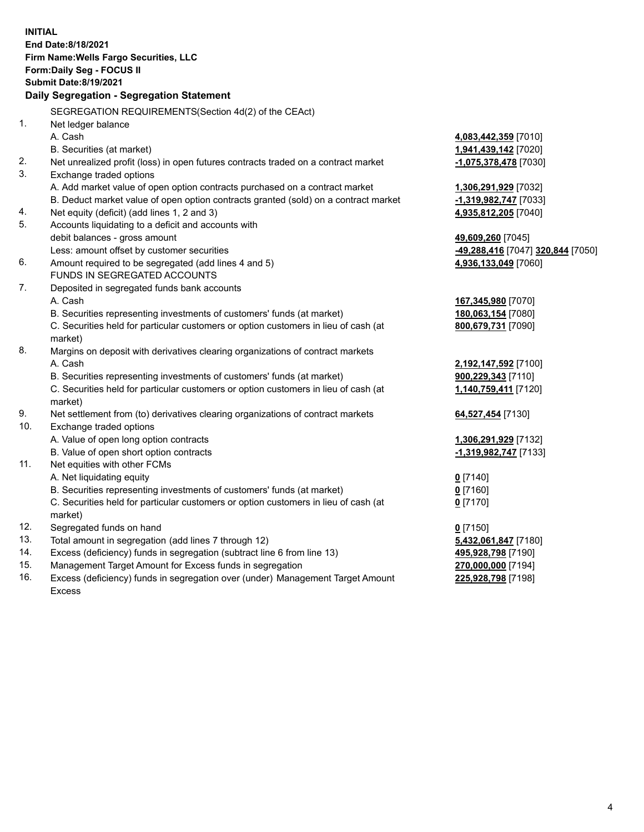**INITIAL End Date:8/18/2021 Firm Name:Wells Fargo Securities, LLC Form:Daily Seg - FOCUS II Submit Date:8/19/2021 Daily Segregation - Segregation Statement** SEGREGATION REQUIREMENTS(Section 4d(2) of the CEAct) 1. Net ledger balance A. Cash **4,083,442,359** [7010] B. Securities (at market) **1,941,439,142** [7020] 2. Net unrealized profit (loss) in open futures contracts traded on a contract market **-1,075,378,478** [7030] 3. Exchange traded options A. Add market value of open option contracts purchased on a contract market **1,306,291,929** [7032] B. Deduct market value of open option contracts granted (sold) on a contract market **-1,319,982,747** [7033] 4. Net equity (deficit) (add lines 1, 2 and 3) **4,935,812,205** [7040] 5. Accounts liquidating to a deficit and accounts with debit balances - gross amount **49,609,260** [7045] Less: amount offset by customer securities **-49,288,416** [7047] **320,844** [7050] 6. Amount required to be segregated (add lines 4 and 5) **4,936,133,049** [7060] FUNDS IN SEGREGATED ACCOUNTS 7. Deposited in segregated funds bank accounts A. Cash **167,345,980** [7070] B. Securities representing investments of customers' funds (at market) **180,063,154** [7080] C. Securities held for particular customers or option customers in lieu of cash (at market) **800,679,731** [7090] 8. Margins on deposit with derivatives clearing organizations of contract markets A. Cash **2,192,147,592** [7100] B. Securities representing investments of customers' funds (at market) **900,229,343** [7110] C. Securities held for particular customers or option customers in lieu of cash (at market) **1,140,759,411** [7120] 9. Net settlement from (to) derivatives clearing organizations of contract markets **64,527,454** [7130] 10. Exchange traded options A. Value of open long option contracts **1,306,291,929** [7132] B. Value of open short option contracts **-1,319,982,747** [7133] 11. Net equities with other FCMs A. Net liquidating equity **0** [7140] B. Securities representing investments of customers' funds (at market) **0** [7160] C. Securities held for particular customers or option customers in lieu of cash (at market) **0** [7170] 12. Segregated funds on hand **0** [7150] 13. Total amount in segregation (add lines 7 through 12) **5,432,061,847** [7180] 14. Excess (deficiency) funds in segregation (subtract line 6 from line 13) **495,928,798** [7190] 15. Management Target Amount for Excess funds in segregation **270,000,000** [7194] 16. Excess (deficiency) funds in segregation over (under) Management Target Amount **225,928,798** [7198]

Excess